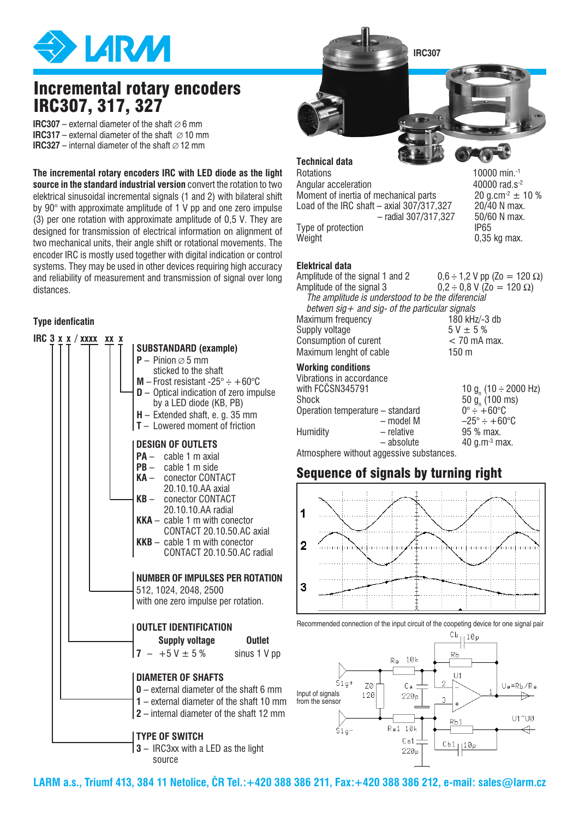

# Incremental rotary encoders IRC307, 317, 327

**IRC307** – external diameter of the shaft  $\varnothing$  6 mm **IRC317** – external diameter of the shaft  $\varnothing$  10 mm **IRC327** – internal diameter of the shaft  $\varnothing$  12 mm

**The incremental rotary encoders IRC with LED diode as the light source in the standard industrial version** convert the rotation to two elektrical sinusoidal incremental signals (1 and 2) with bilateral shift by 90° with approximate amplitude of 1 V pp and one zero impulse (3) per one rotation with approximate amplitude of 0,5 V. They are designed for transmission of electrical information on alignment of two mechanical units, their angle shift or rotational movements. The encoder IRC is mostly used together with digital indication or control systems. They may be used in other devices requiring high accuracy and reliability of measurement and transmission of signal over long distances.

### **Type idenficatin**



**IRC307**

**Technical data**

| Rotations                                   | 10000 min. <sup>-1</sup>    |
|---------------------------------------------|-----------------------------|
| Angular acceleration                        | 40000 rad.s <sup>-2</sup>   |
| Moment of inertia of mechanical parts       | 20 g.cm <sup>-2</sup> $\pm$ |
| Load of the IRC shaft $-$ axial 307/317,327 | 20/40 N max                 |
| $-$ radial 307/317,327                      | 50/60 N max                 |
| Type of protection                          | IP65                        |
| Weight                                      | 0,35 kg max.                |

10000 min. $-1$ 40000 rad.s $^{-2}$  $20$  g.cm<sup>-2</sup>  $\pm$  10 % Load of the IRC shaft – axial 307**/**317,327 20**/**40 N max. 50/60 N max.<br>IP65

#### **Elektrical data**

**Working conditions** Vibrations in accordance with FCCSN345791  $(10 \div 2000 \; \text{Hz})$ Shock  $50 g_n$  $(100 \text{ ms})$ Amplitude of the signal 1 and 2  $0,6 \div 1,2$  V pp (Zo = 120  $\Omega$ )<br>Amplitude of the signal 3  $0.2 \div 0.8$  V (Zo = 120  $\Omega$ )  $0.2 \div 0.8$  V (Zo = 120 Ω) *The amplitude is understood to be the diferencial betwen sig+ and sig- of the particular signals* Maximum frequency 180 kHz/-3 db Supply voltage  $5 \text{ V} \pm 5 \text{ %}$ Consumption of curent < 70 mA max. Maximum lenght of cable 150 m

| oliuun                           |            | $0.90 \,$ g, (100 1115)             |
|----------------------------------|------------|-------------------------------------|
| Operation temperature – standard |            | $0^{\circ} - +60^{\circ}$ C         |
|                                  | – model M  | $-25^\circ \div +60^\circ \text{C}$ |
| Humidity                         | – relative | 95 % max.                           |
|                                  | - absolute | 40 g.m <sup>-3</sup> max.           |
|                                  |            |                                     |

Atmosphere without aggessive substances.

## Sequence of signals by turning right



Recommended connection of the input circuit of the coopeting device for one signal pair



**LARM a.s., Triumf 413, 384 11 Netolice, ČR Tel.:+420 388 386 211, Fax:+420 388 386 212, e-mail: sales@larm.cz**